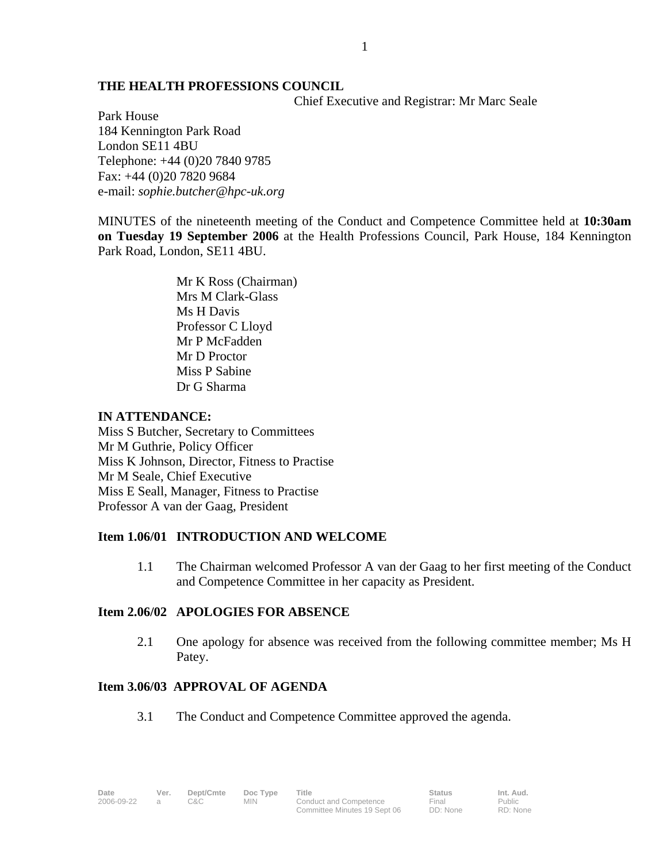#### **THE HEALTH PROFESSIONS COUNCIL**

Chief Executive and Registrar: Mr Marc Seale

Park House 184 Kennington Park Road London SE11 4BU Telephone: +44 (0)20 7840 9785 Fax: +44 (0)20 7820 9684 e-mail: *sophie.butcher@hpc-uk.org*

MINUTES of the nineteenth meeting of the Conduct and Competence Committee held at **10:30am on Tuesday 19 September 2006** at the Health Professions Council, Park House, 184 Kennington Park Road, London, SE11 4BU.

> Mr K Ross (Chairman) Mrs M Clark-Glass Ms H Davis Professor C Lloyd Mr P McFadden Mr D Proctor Miss P Sabine Dr G Sharma

#### **IN ATTENDANCE:**

Miss S Butcher, Secretary to Committees Mr M Guthrie, Policy Officer Miss K Johnson, Director, Fitness to Practise Mr M Seale, Chief Executive Miss E Seall, Manager, Fitness to Practise Professor A van der Gaag, President

#### **Item 1.06/01 INTRODUCTION AND WELCOME**

1.1 The Chairman welcomed Professor A van der Gaag to her first meeting of the Conduct and Competence Committee in her capacity as President.

### **Item 2.06/02 APOLOGIES FOR ABSENCE**

2.1 One apology for absence was received from the following committee member; Ms H Patey.

#### **Item 3.06/03 APPROVAL OF AGENDA**

3.1 The Conduct and Competence Committee approved the agenda.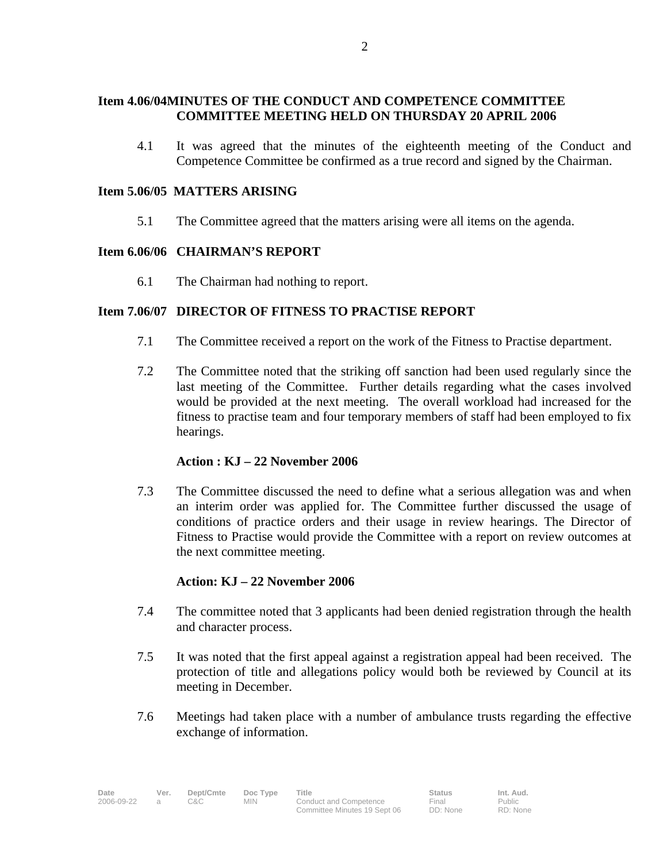# **Item 4.06/04MINUTES OF THE CONDUCT AND COMPETENCE COMMITTEE COMMITTEE MEETING HELD ON THURSDAY 20 APRIL 2006**

4.1 It was agreed that the minutes of the eighteenth meeting of the Conduct and Competence Committee be confirmed as a true record and signed by the Chairman.

# **Item 5.06/05 MATTERS ARISING**

5.1 The Committee agreed that the matters arising were all items on the agenda.

# **Item 6.06/06 CHAIRMAN'S REPORT**

6.1 The Chairman had nothing to report.

# **Item 7.06/07 DIRECTOR OF FITNESS TO PRACTISE REPORT**

- 7.1 The Committee received a report on the work of the Fitness to Practise department.
- 7.2 The Committee noted that the striking off sanction had been used regularly since the last meeting of the Committee. Further details regarding what the cases involved would be provided at the next meeting. The overall workload had increased for the fitness to practise team and four temporary members of staff had been employed to fix hearings.

# **Action : KJ – 22 November 2006**

7.3 The Committee discussed the need to define what a serious allegation was and when an interim order was applied for. The Committee further discussed the usage of conditions of practice orders and their usage in review hearings. The Director of Fitness to Practise would provide the Committee with a report on review outcomes at the next committee meeting.

# **Action: KJ – 22 November 2006**

- 7.4 The committee noted that 3 applicants had been denied registration through the health and character process.
- 7.5 It was noted that the first appeal against a registration appeal had been received. The protection of title and allegations policy would both be reviewed by Council at its meeting in December.
- 7.6 Meetings had taken place with a number of ambulance trusts regarding the effective exchange of information.

2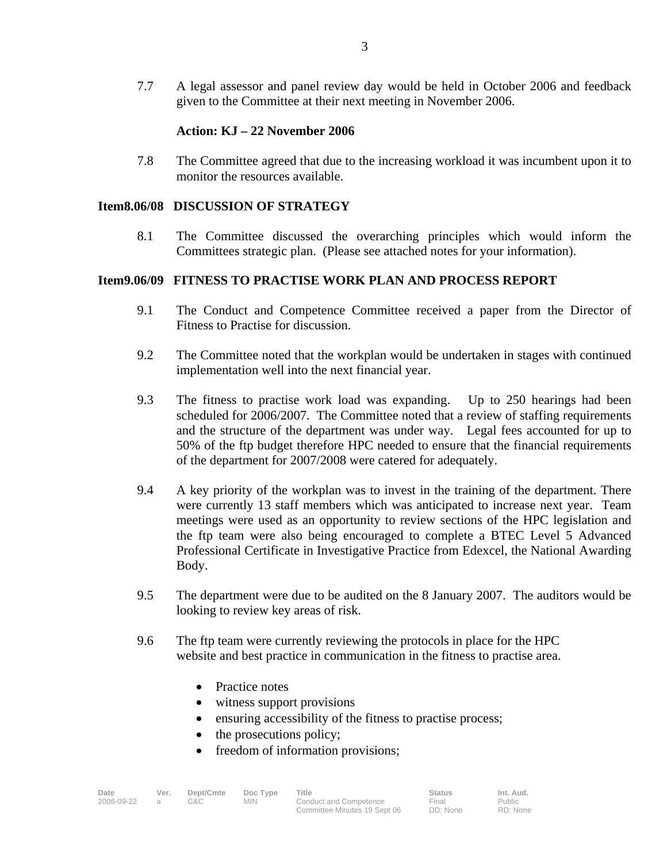7.7 A legal assessor and panel review day would be held in October 2006 and feedback given to the Committee at their next meeting in November 2006.

# **Action: KJ – 22 November 2006**

7.8 The Committee agreed that due to the increasing workload it was incumbent upon it to monitor the resources available.

# **Item8.06/08 DISCUSSION OF STRATEGY**

8.1 The Committee discussed the overarching principles which would inform the Committees strategic plan. (Please see attached notes for your information).

# **Item9.06/09 FITNESS TO PRACTISE WORK PLAN AND PROCESS REPORT**

- 9.1 The Conduct and Competence Committee received a paper from the Director of Fitness to Practise for discussion.
- 9.2 The Committee noted that the workplan would be undertaken in stages with continued implementation well into the next financial year.
- 9.3 The fitness to practise work load was expanding. Up to 250 hearings had been scheduled for 2006/2007. The Committee noted that a review of staffing requirements and the structure of the department was under way. Legal fees accounted for up to 50% of the ftp budget therefore HPC needed to ensure that the financial requirements of the department for 2007/2008 were catered for adequately.
- 9.4 A key priority of the workplan was to invest in the training of the department. There were currently 13 staff members which was anticipated to increase next year. Team meetings were used as an opportunity to review sections of the HPC legislation and the ftp team were also being encouraged to complete a BTEC Level 5 Advanced Professional Certificate in Investigative Practice from Edexcel, the National Awarding Body.
- 9.5 The department were due to be audited on the 8 January 2007. The auditors would be looking to review key areas of risk.
- 9.6 The ftp team were currently reviewing the protocols in place for the HPC website and best practice in communication in the fitness to practise area.
	- Practice notes
	- witness support provisions
	- ensuring accessibility of the fitness to practise process;
	- the prosecutions policy;
	- freedom of information provisions;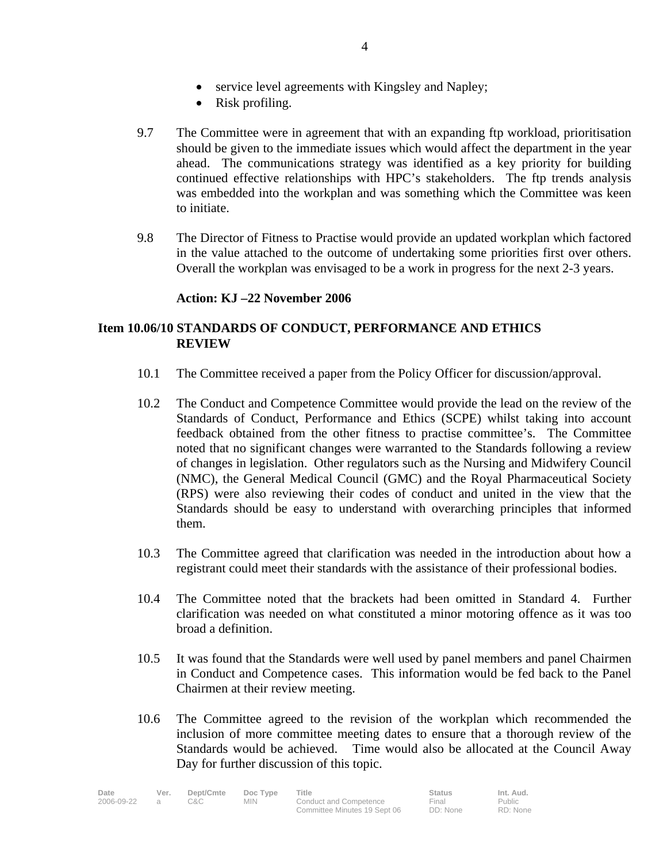- service level agreements with Kingsley and Napley;
- Risk profiling.
- 9.7 The Committee were in agreement that with an expanding ftp workload, prioritisation should be given to the immediate issues which would affect the department in the year ahead. The communications strategy was identified as a key priority for building continued effective relationships with HPC's stakeholders. The ftp trends analysis was embedded into the workplan and was something which the Committee was keen to initiate.
- 9.8 The Director of Fitness to Practise would provide an updated workplan which factored in the value attached to the outcome of undertaking some priorities first over others. Overall the workplan was envisaged to be a work in progress for the next 2-3 years.

#### **Action: KJ –22 November 2006**

# **Item 10.06/10 STANDARDS OF CONDUCT, PERFORMANCE AND ETHICS REVIEW**

- 10.1 The Committee received a paper from the Policy Officer for discussion/approval.
- 10.2 The Conduct and Competence Committee would provide the lead on the review of the Standards of Conduct, Performance and Ethics (SCPE) whilst taking into account feedback obtained from the other fitness to practise committee's. The Committee noted that no significant changes were warranted to the Standards following a review of changes in legislation. Other regulators such as the Nursing and Midwifery Council (NMC), the General Medical Council (GMC) and the Royal Pharmaceutical Society (RPS) were also reviewing their codes of conduct and united in the view that the Standards should be easy to understand with overarching principles that informed them.
- 10.3 The Committee agreed that clarification was needed in the introduction about how a registrant could meet their standards with the assistance of their professional bodies.
- 10.4 The Committee noted that the brackets had been omitted in Standard 4. Further clarification was needed on what constituted a minor motoring offence as it was too broad a definition.
- 10.5 It was found that the Standards were well used by panel members and panel Chairmen in Conduct and Competence cases. This information would be fed back to the Panel Chairmen at their review meeting.
- 10.6 The Committee agreed to the revision of the workplan which recommended the inclusion of more committee meeting dates to ensure that a thorough review of the Standards would be achieved. Time would also be allocated at the Council Away Day for further discussion of this topic.

| Date       | Ver. | Dept/Cmte | Doc Type | Title                        | <b>Status</b> | Int. Aud. |  |
|------------|------|-----------|----------|------------------------------|---------------|-----------|--|
| 2006-09-22 |      | C&C -     | MIN.     | Conduct and Competence       | Final         | Public    |  |
|            |      |           |          | Committee Minutes 19 Sept 06 | DD: None      | RD: None  |  |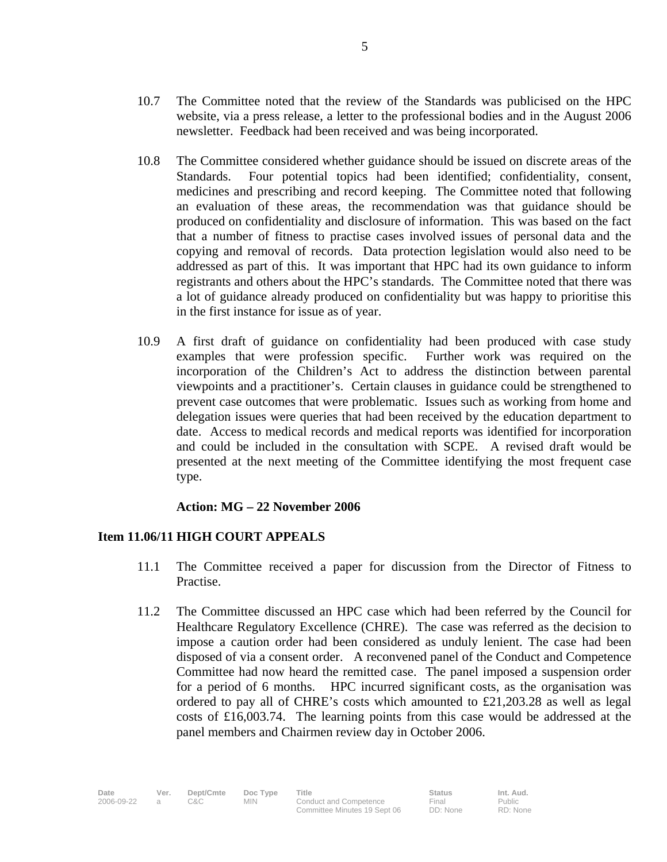- 10.7 The Committee noted that the review of the Standards was publicised on the HPC website, via a press release, a letter to the professional bodies and in the August 2006 newsletter. Feedback had been received and was being incorporated.
- 10.8 The Committee considered whether guidance should be issued on discrete areas of the Standards. Four potential topics had been identified; confidentiality, consent, medicines and prescribing and record keeping. The Committee noted that following an evaluation of these areas, the recommendation was that guidance should be produced on confidentiality and disclosure of information. This was based on the fact that a number of fitness to practise cases involved issues of personal data and the copying and removal of records. Data protection legislation would also need to be addressed as part of this. It was important that HPC had its own guidance to inform registrants and others about the HPC's standards. The Committee noted that there was a lot of guidance already produced on confidentiality but was happy to prioritise this in the first instance for issue as of year.
- 10.9 A first draft of guidance on confidentiality had been produced with case study examples that were profession specific. Further work was required on the incorporation of the Children's Act to address the distinction between parental viewpoints and a practitioner's. Certain clauses in guidance could be strengthened to prevent case outcomes that were problematic. Issues such as working from home and delegation issues were queries that had been received by the education department to date. Access to medical records and medical reports was identified for incorporation and could be included in the consultation with SCPE. A revised draft would be presented at the next meeting of the Committee identifying the most frequent case type.

# **Action: MG – 22 November 2006**

# **Item 11.06/11 HIGH COURT APPEALS**

- 11.1 The Committee received a paper for discussion from the Director of Fitness to Practise.
- 11.2 The Committee discussed an HPC case which had been referred by the Council for Healthcare Regulatory Excellence (CHRE). The case was referred as the decision to impose a caution order had been considered as unduly lenient. The case had been disposed of via a consent order. A reconvened panel of the Conduct and Competence Committee had now heard the remitted case. The panel imposed a suspension order for a period of 6 months. HPC incurred significant costs, as the organisation was ordered to pay all of CHRE's costs which amounted to £21,203.28 as well as legal costs of £16,003.74. The learning points from this case would be addressed at the panel members and Chairmen review day in October 2006.

Date Ver. Dept/Cmte Doc Type Title **Status** Status Int. Aud. 2006-09-22 a C&C MIN Conduct and Competence Committee Minutes 19 Sept 06

Final DD: None Public RD: None

5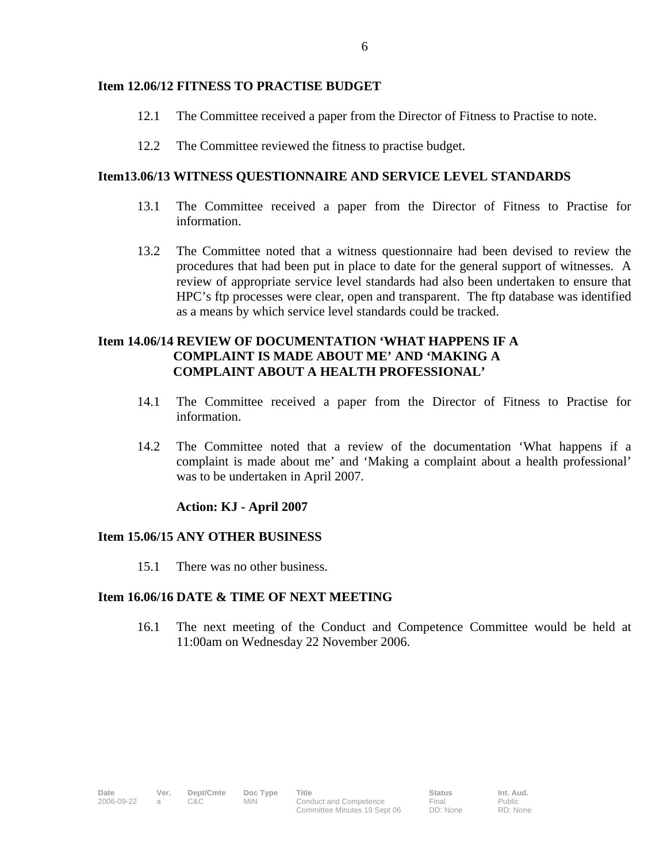# **Item 12.06/12 FITNESS TO PRACTISE BUDGET**

- 12.1 The Committee received a paper from the Director of Fitness to Practise to note.
- 12.2 The Committee reviewed the fitness to practise budget.

# **Item13.06/13 WITNESS QUESTIONNAIRE AND SERVICE LEVEL STANDARDS**

- 13.1 The Committee received a paper from the Director of Fitness to Practise for information.
- 13.2 The Committee noted that a witness questionnaire had been devised to review the procedures that had been put in place to date for the general support of witnesses. A review of appropriate service level standards had also been undertaken to ensure that HPC's ftp processes were clear, open and transparent. The ftp database was identified as a means by which service level standards could be tracked.

# **Item 14.06/14 REVIEW OF DOCUMENTATION 'WHAT HAPPENS IF A COMPLAINT IS MADE ABOUT ME' AND 'MAKING A COMPLAINT ABOUT A HEALTH PROFESSIONAL'**

- 14.1 The Committee received a paper from the Director of Fitness to Practise for information.
- 14.2 The Committee noted that a review of the documentation 'What happens if a complaint is made about me' and 'Making a complaint about a health professional' was to be undertaken in April 2007.

# **Action: KJ - April 2007**

#### **Item 15.06/15 ANY OTHER BUSINESS**

15.1 There was no other business.

# **Item 16.06/16 DATE & TIME OF NEXT MEETING**

16.1 The next meeting of the Conduct and Competence Committee would be held at 11:00am on Wednesday 22 November 2006.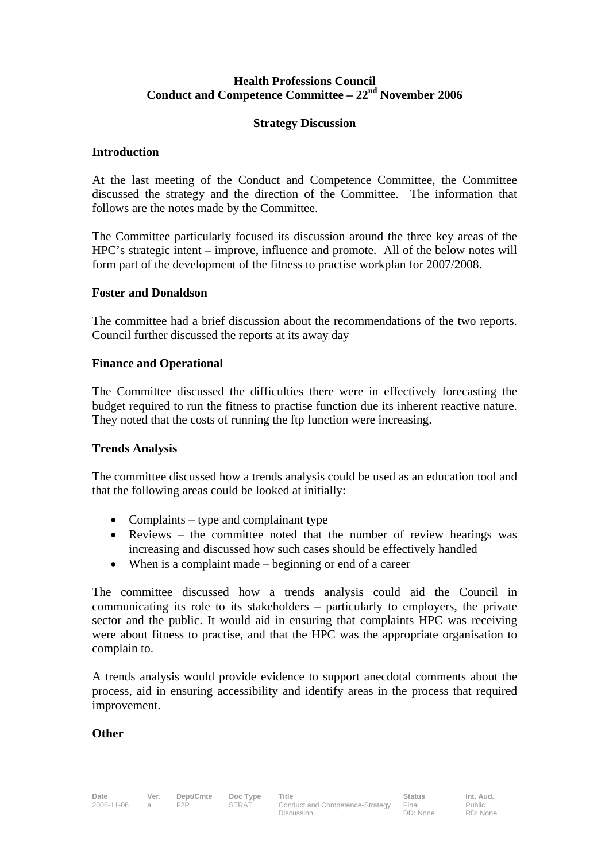# **Health Professions Council Conduct and Competence Committee – 22nd November 2006**

# **Strategy Discussion**

# **Introduction**

At the last meeting of the Conduct and Competence Committee, the Committee discussed the strategy and the direction of the Committee. The information that follows are the notes made by the Committee.

The Committee particularly focused its discussion around the three key areas of the HPC's strategic intent – improve, influence and promote. All of the below notes will form part of the development of the fitness to practise workplan for 2007/2008.

# **Foster and Donaldson**

The committee had a brief discussion about the recommendations of the two reports. Council further discussed the reports at its away day

# **Finance and Operational**

The Committee discussed the difficulties there were in effectively forecasting the budget required to run the fitness to practise function due its inherent reactive nature. They noted that the costs of running the ftp function were increasing.

# **Trends Analysis**

The committee discussed how a trends analysis could be used as an education tool and that the following areas could be looked at initially:

- Complaints type and complainant type
- Reviews the committee noted that the number of review hearings was increasing and discussed how such cases should be effectively handled
- When is a complaint made beginning or end of a career

The committee discussed how a trends analysis could aid the Council in communicating its role to its stakeholders – particularly to employers, the private sector and the public. It would aid in ensuring that complaints HPC was receiving were about fitness to practise, and that the HPC was the appropriate organisation to complain to.

A trends analysis would provide evidence to support anecdotal comments about the process, aid in ensuring accessibility and identify areas in the process that required improvement.

# **Other**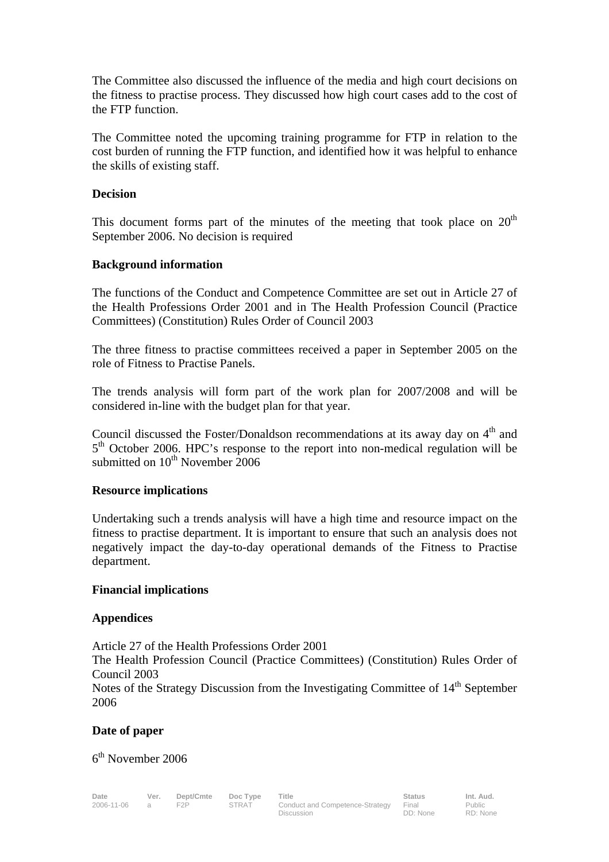The Committee also discussed the influence of the media and high court decisions on the fitness to practise process. They discussed how high court cases add to the cost of the FTP function.

The Committee noted the upcoming training programme for FTP in relation to the cost burden of running the FTP function, and identified how it was helpful to enhance the skills of existing staff.

# **Decision**

This document forms part of the minutes of the meeting that took place on  $20<sup>th</sup>$ September 2006. No decision is required

# **Background information**

The functions of the Conduct and Competence Committee are set out in Article 27 of the Health Professions Order 2001 and in The Health Profession Council (Practice Committees) (Constitution) Rules Order of Council 2003

The three fitness to practise committees received a paper in September 2005 on the role of Fitness to Practise Panels.

The trends analysis will form part of the work plan for 2007/2008 and will be considered in-line with the budget plan for that year.

Council discussed the Foster/Donaldson recommendations at its away day on  $4<sup>th</sup>$  and 5<sup>th</sup> October 2006. HPC's response to the report into non-medical regulation will be submitted on  $10^{th}$  November  $2006$ 

# **Resource implications**

Undertaking such a trends analysis will have a high time and resource impact on the fitness to practise department. It is important to ensure that such an analysis does not negatively impact the day-to-day operational demands of the Fitness to Practise department.

# **Financial implications**

# **Appendices**

Article 27 of the Health Professions Order 2001 The Health Profession Council (Practice Committees) (Constitution) Rules Order of Council 2003 Notes of the Strategy Discussion from the Investigating Committee of 14<sup>th</sup> September 2006

# **Date of paper**

 $6<sup>th</sup>$  November 2006

Final DD: None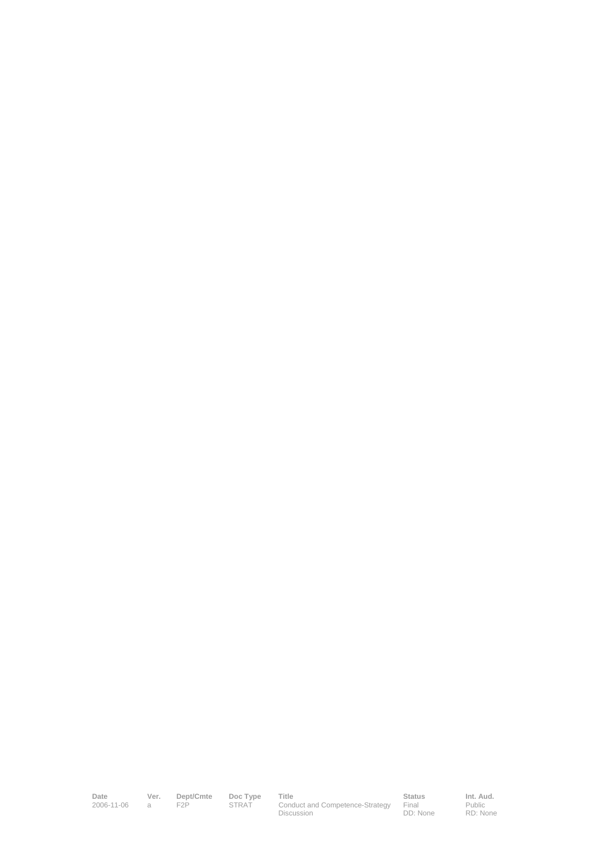Date Ver. Dept/Cmte Doc Type Title **Status** Status Int. Aud. 2006-11-06 a F2P STRAT Conduct and Competence-Strategy Discussion

Final DD: None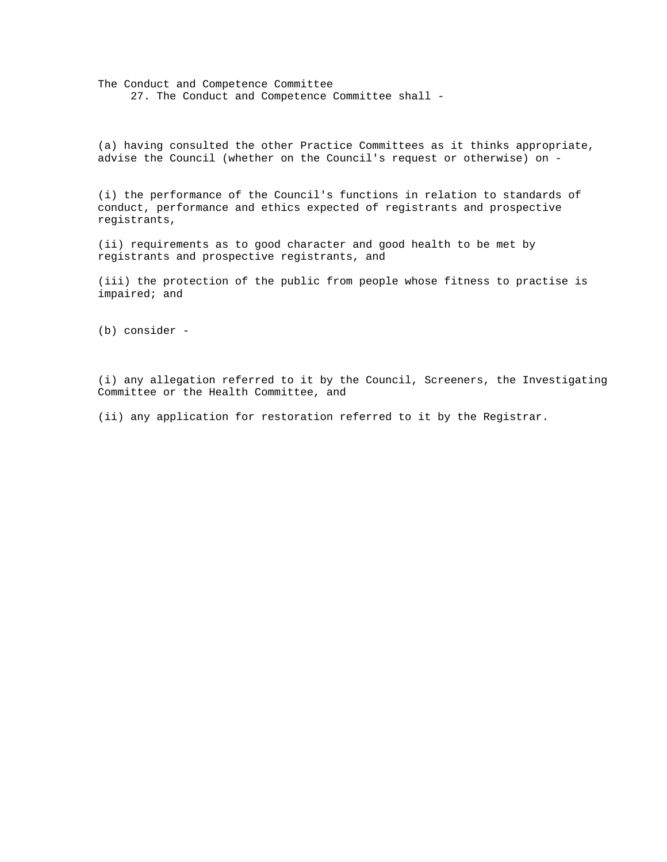The Conduct and Competence Committee 27. The Conduct and Competence Committee shall -

(a) having consulted the other Practice Committees as it thinks appropriate, advise the Council (whether on the Council's request or otherwise) on -

(i) the performance of the Council's functions in relation to standards of conduct, performance and ethics expected of registrants and prospective registrants,

(ii) requirements as to good character and good health to be met by registrants and prospective registrants, and

(iii) the protection of the public from people whose fitness to practise is impaired; and

(b) consider -

(i) any allegation referred to it by the Council, Screeners, the Investigating Committee or the Health Committee, and

(ii) any application for restoration referred to it by the Registrar.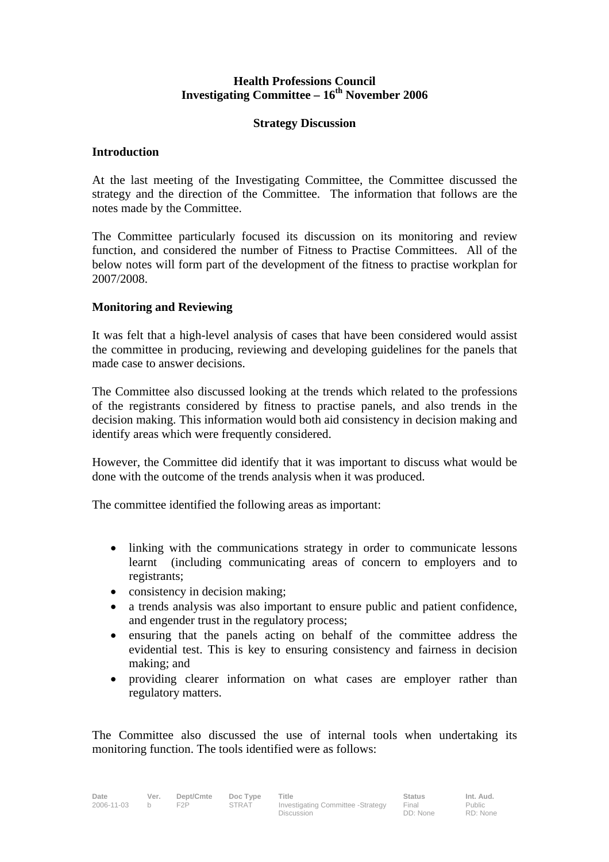# **Health Professions Council**  Investigating Committee –  $16^{th}$  November 2006

# **Strategy Discussion**

# **Introduction**

At the last meeting of the Investigating Committee, the Committee discussed the strategy and the direction of the Committee. The information that follows are the notes made by the Committee.

The Committee particularly focused its discussion on its monitoring and review function, and considered the number of Fitness to Practise Committees. All of the below notes will form part of the development of the fitness to practise workplan for 2007/2008.

# **Monitoring and Reviewing**

It was felt that a high-level analysis of cases that have been considered would assist the committee in producing, reviewing and developing guidelines for the panels that made case to answer decisions.

The Committee also discussed looking at the trends which related to the professions of the registrants considered by fitness to practise panels, and also trends in the decision making. This information would both aid consistency in decision making and identify areas which were frequently considered.

However, the Committee did identify that it was important to discuss what would be done with the outcome of the trends analysis when it was produced.

The committee identified the following areas as important:

- linking with the communications strategy in order to communicate lessons learnt (including communicating areas of concern to employers and to registrants;
- consistency in decision making;
- a trends analysis was also important to ensure public and patient confidence, and engender trust in the regulatory process;
- ensuring that the panels acting on behalf of the committee address the evidential test. This is key to ensuring consistency and fairness in decision making; and
- providing clearer information on what cases are employer rather than regulatory matters.

The Committee also discussed the use of internal tools when undertaking its monitoring function. The tools identified were as follows: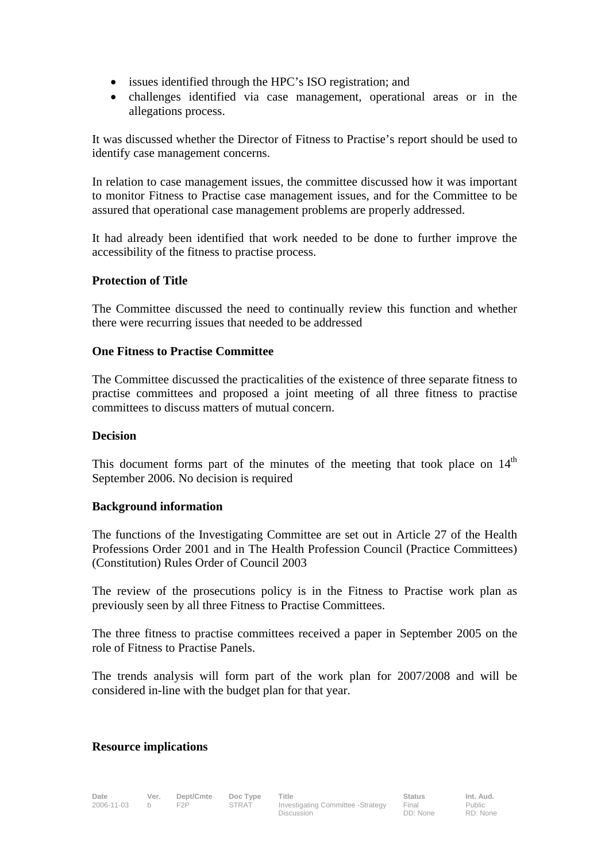- issues identified through the HPC's ISO registration; and
- challenges identified via case management, operational areas or in the allegations process.

It was discussed whether the Director of Fitness to Practise's report should be used to identify case management concerns.

In relation to case management issues, the committee discussed how it was important to monitor Fitness to Practise case management issues, and for the Committee to be assured that operational case management problems are properly addressed.

It had already been identified that work needed to be done to further improve the accessibility of the fitness to practise process.

# **Protection of Title**

The Committee discussed the need to continually review this function and whether there were recurring issues that needed to be addressed

# **One Fitness to Practise Committee**

The Committee discussed the practicalities of the existence of three separate fitness to practise committees and proposed a joint meeting of all three fitness to practise committees to discuss matters of mutual concern.

#### **Decision**

This document forms part of the minutes of the meeting that took place on  $14<sup>th</sup>$ September 2006. No decision is required

#### **Background information**

The functions of the Investigating Committee are set out in Article 27 of the Health Professions Order 2001 and in The Health Profession Council (Practice Committees) (Constitution) Rules Order of Council 2003

The review of the prosecutions policy is in the Fitness to Practise work plan as previously seen by all three Fitness to Practise Committees.

The three fitness to practise committees received a paper in September 2005 on the role of Fitness to Practise Panels.

The trends analysis will form part of the work plan for 2007/2008 and will be considered in-line with the budget plan for that year.

#### **Resource implications**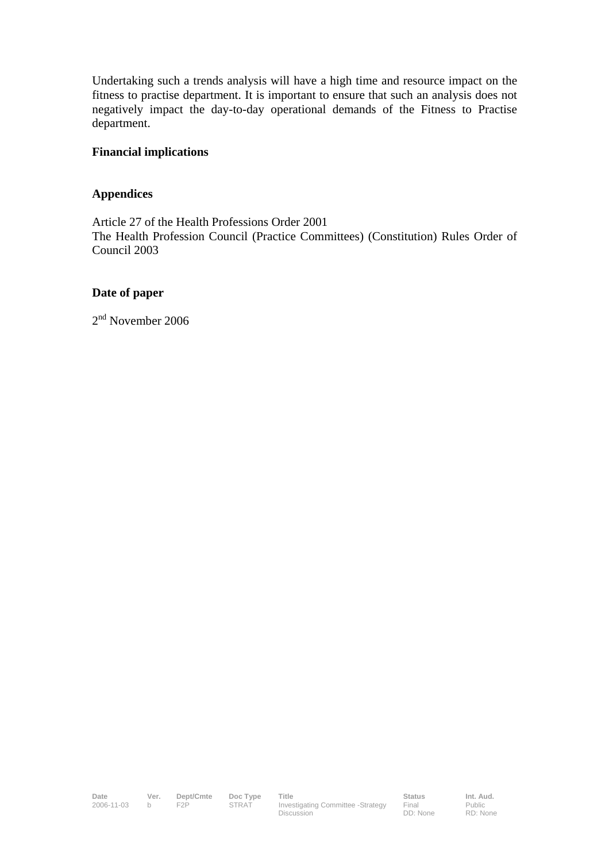Undertaking such a trends analysis will have a high time and resource impact on the fitness to practise department. It is important to ensure that such an analysis does not negatively impact the day-to-day operational demands of the Fitness to Practise department.

# **Financial implications**

# **Appendices**

Article 27 of the Health Professions Order 2001 The Health Profession Council (Practice Committees) (Constitution) Rules Order of Council 2003

# **Date of paper**

2<sup>nd</sup> November 2006

Date Ver. Dept/Cmte Doc Type Title **Status** Status Int. Aud. Date Ver. Dept/Cmte Doc Type Title<br>2006-11-03 b F2P STRAT Investigating Committee -Strategy Discussion

Final DD: None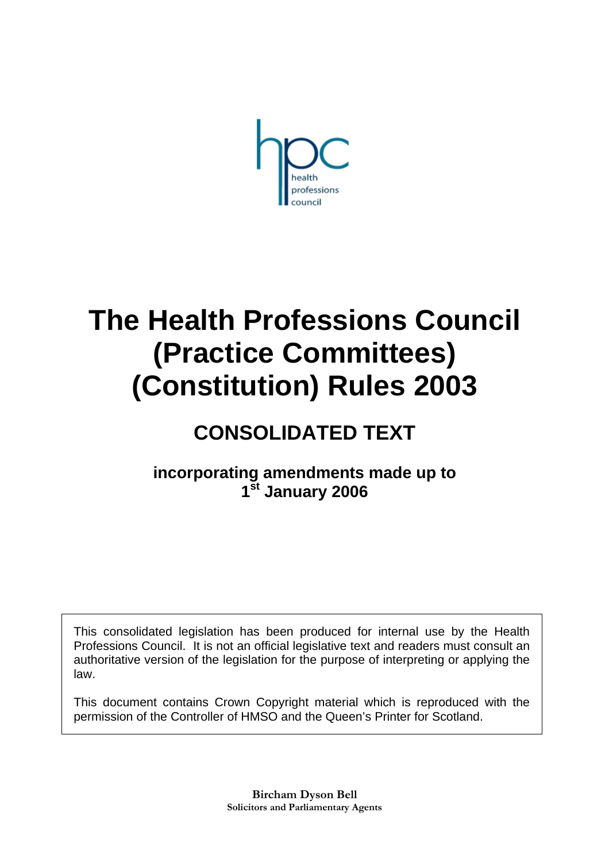

# **The Health Professions Council (Practice Committees) (Constitution) Rules 2003**

# **CONSOLIDATED TEXT**

# **incorporating amendments made up to 1st January 2006**

This consolidated legislation has been produced for internal use by the Health Professions Council. It is not an official legislative text and readers must consult an authoritative version of the legislation for the purpose of interpreting or applying the law.

This document contains Crown Copyright material which is reproduced with the permission of the Controller of HMSO and the Queen's Printer for Scotland.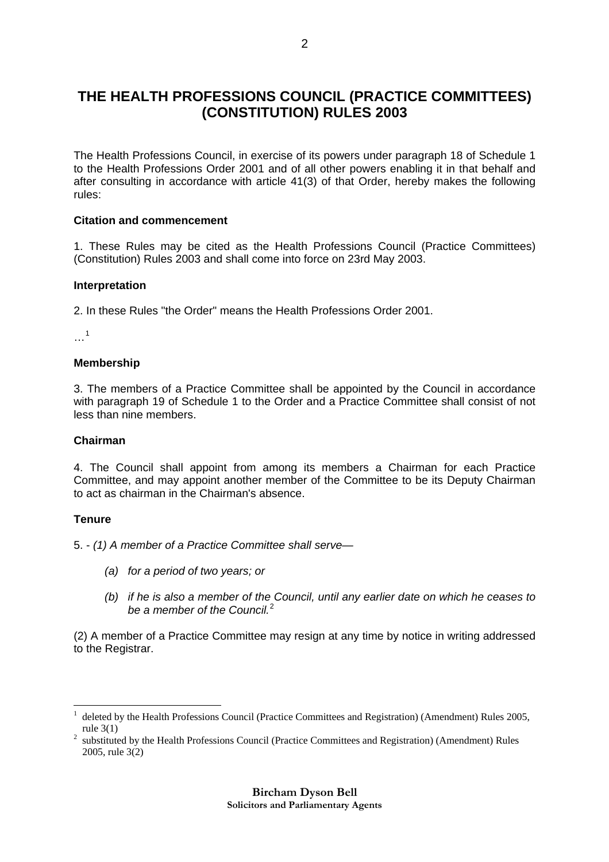# **THE HEALTH PROFESSIONS COUNCIL (PRACTICE COMMITTEES) (CONSTITUTION) RULES 2003**

The Health Professions Council, in exercise of its powers under paragraph 18 of Schedule 1 to the Health Professions Order 2001 and of all other powers enabling it in that behalf and after consulting in accordance with article 41(3) of that Order, hereby makes the following rules:

### **Citation and commencement**

1. These Rules may be cited as the Health Professions Council (Practice Committees) (Constitution) Rules 2003 and shall come into force on 23rd May 2003.

### **Interpretation**

2. In these Rules "the Order" means the Health Professions Order 2001.

…<sup>1</sup>

### **Membership**

3. The members of a Practice Committee shall be appointed by the Council in accordance with paragraph 19 of Schedule 1 to the Order and a Practice Committee shall consist of not less than nine members.

# **Chairman**

4. The Council shall appoint from among its members a Chairman for each Practice Committee, and may appoint another member of the Committee to be its Deputy Chairman to act as chairman in the Chairman's absence.

#### **Tenure**

 $\overline{a}$ 

5. - *(1) A member of a Practice Committee shall serve—* 

- *(a) for a period of two years; or*
- *(b) if he is also a member of the Council, until any earlier date on which he ceases to be a member of the Council.*<sup>2</sup>

(2) A member of a Practice Committee may resign at any time by notice in writing addressed to the Registrar.

<sup>1</sup> deleted by the Health Professions Council (Practice Committees and Registration) (Amendment) Rules 2005, rule  $3(1)$ 

substituted by the Health Professions Council (Practice Committees and Registration) (Amendment) Rules 2005, rule 3(2)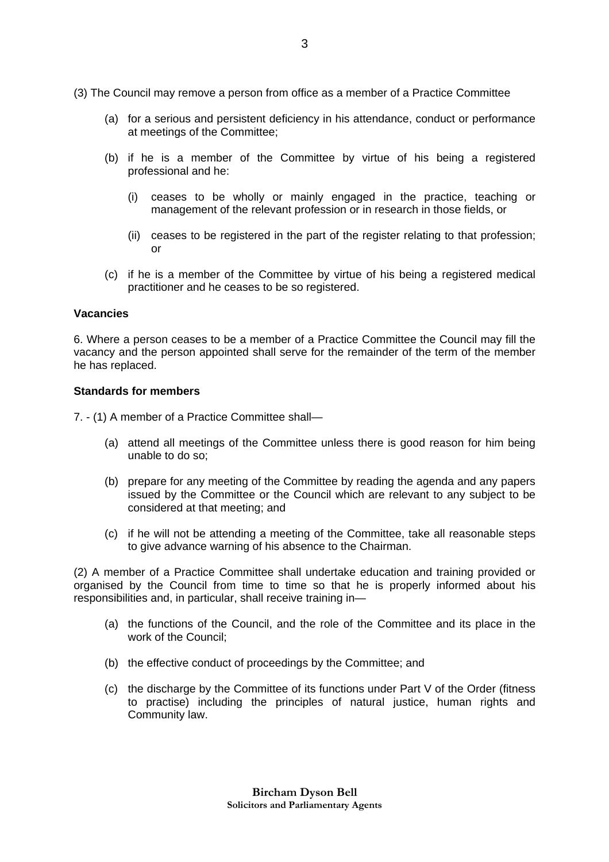(3) The Council may remove a person from office as a member of a Practice Committee

- (a) for a serious and persistent deficiency in his attendance, conduct or performance at meetings of the Committee;
- (b) if he is a member of the Committee by virtue of his being a registered professional and he:
	- (i) ceases to be wholly or mainly engaged in the practice, teaching or management of the relevant profession or in research in those fields, or
	- (ii) ceases to be registered in the part of the register relating to that profession; or
- (c) if he is a member of the Committee by virtue of his being a registered medical practitioner and he ceases to be so registered.

### **Vacancies**

6. Where a person ceases to be a member of a Practice Committee the Council may fill the vacancy and the person appointed shall serve for the remainder of the term of the member he has replaced.

#### **Standards for members**

7. - (1) A member of a Practice Committee shall—

- (a) attend all meetings of the Committee unless there is good reason for him being unable to do so;
- (b) prepare for any meeting of the Committee by reading the agenda and any papers issued by the Committee or the Council which are relevant to any subject to be considered at that meeting; and
- (c) if he will not be attending a meeting of the Committee, take all reasonable steps to give advance warning of his absence to the Chairman.

(2) A member of a Practice Committee shall undertake education and training provided or organised by the Council from time to time so that he is properly informed about his responsibilities and, in particular, shall receive training in—

- (a) the functions of the Council, and the role of the Committee and its place in the work of the Council;
- (b) the effective conduct of proceedings by the Committee; and
- (c) the discharge by the Committee of its functions under Part V of the Order (fitness to practise) including the principles of natural justice, human rights and Community law.